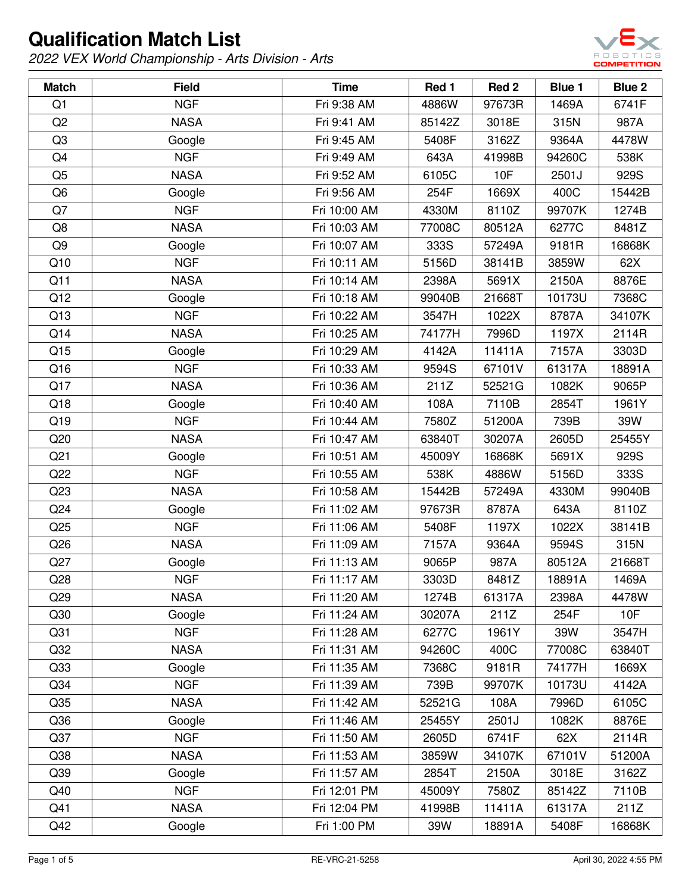

| <b>Match</b>    | <b>Field</b> | <b>Time</b>  | Red 1  | Red 2  | <b>Blue 1</b> | Blue 2 |
|-----------------|--------------|--------------|--------|--------|---------------|--------|
| Q1              | <b>NGF</b>   | Fri 9:38 AM  | 4886W  | 97673R | 1469A         | 6741F  |
| Q <sub>2</sub>  | <b>NASA</b>  | Fri 9:41 AM  | 85142Z | 3018E  | 315N          | 987A   |
| Q <sub>3</sub>  | Google       | Fri 9:45 AM  | 5408F  | 3162Z  | 9364A         | 4478W  |
| Q4              | <b>NGF</b>   | Fri 9:49 AM  | 643A   | 41998B | 94260C        | 538K   |
| Q <sub>5</sub>  | <b>NASA</b>  | Fri 9:52 AM  | 6105C  | 10F    | 2501J         | 929S   |
| Q <sub>6</sub>  | Google       | Fri 9:56 AM  | 254F   | 1669X  | 400C          | 15442B |
| Q7              | <b>NGF</b>   | Fri 10:00 AM | 4330M  | 8110Z  | 99707K        | 1274B  |
| Q8              | <b>NASA</b>  | Fri 10:03 AM | 77008C | 80512A | 6277C         | 8481Z  |
| Q9              | Google       | Fri 10:07 AM | 333S   | 57249A | 9181R         | 16868K |
| Q10             | <b>NGF</b>   | Fri 10:11 AM | 5156D  | 38141B | 3859W         | 62X    |
| Q11             | <b>NASA</b>  | Fri 10:14 AM | 2398A  | 5691X  | 2150A         | 8876E  |
| Q12             | Google       | Fri 10:18 AM | 99040B | 21668T | 10173U        | 7368C  |
| Q13             | <b>NGF</b>   | Fri 10:22 AM | 3547H  | 1022X  | 8787A         | 34107K |
| Q14             | <b>NASA</b>  | Fri 10:25 AM | 74177H | 7996D  | 1197X         | 2114R  |
| Q15             | Google       | Fri 10:29 AM | 4142A  | 11411A | 7157A         | 3303D  |
| Q16             | <b>NGF</b>   | Fri 10:33 AM | 9594S  | 67101V | 61317A        | 18891A |
| Q17             | <b>NASA</b>  | Fri 10:36 AM | 211Z   | 52521G | 1082K         | 9065P  |
| Q18             | Google       | Fri 10:40 AM | 108A   | 7110B  | 2854T         | 1961Y  |
| Q19             | <b>NGF</b>   | Fri 10:44 AM | 7580Z  | 51200A | 739B          | 39W    |
| Q20             | <b>NASA</b>  | Fri 10:47 AM | 63840T | 30207A | 2605D         | 25455Y |
| Q <sub>21</sub> | Google       | Fri 10:51 AM | 45009Y | 16868K | 5691X         | 929S   |
| Q22             | <b>NGF</b>   | Fri 10:55 AM | 538K   | 4886W  | 5156D         | 333S   |
| Q23             | <b>NASA</b>  | Fri 10:58 AM | 15442B | 57249A | 4330M         | 99040B |
| Q24             | Google       | Fri 11:02 AM | 97673R | 8787A  | 643A          | 8110Z  |
| Q25             | <b>NGF</b>   | Fri 11:06 AM | 5408F  | 1197X  | 1022X         | 38141B |
| Q26             | <b>NASA</b>  | Fri 11:09 AM | 7157A  | 9364A  | 9594S         | 315N   |
| Q27             | Google       | Fri 11:13 AM | 9065P  | 987A   | 80512A        | 21668T |
| Q28             | <b>NGF</b>   | Fri 11:17 AM | 3303D  | 8481Z  | 18891A        | 1469A  |
| Q29             | <b>NASA</b>  | Fri 11:20 AM | 1274B  | 61317A | 2398A         | 4478W  |
| Q30             | Google       | Fri 11:24 AM | 30207A | 211Z   | 254F          | 10F    |
| Q <sub>31</sub> | <b>NGF</b>   | Fri 11:28 AM | 6277C  | 1961Y  | 39W           | 3547H  |
| Q <sub>32</sub> | <b>NASA</b>  | Fri 11:31 AM | 94260C | 400C   | 77008C        | 63840T |
| Q <sub>33</sub> | Google       | Fri 11:35 AM | 7368C  | 9181R  | 74177H        | 1669X  |
| Q34             | <b>NGF</b>   | Fri 11:39 AM | 739B   | 99707K | 10173U        | 4142A  |
| Q35             | <b>NASA</b>  | Fri 11:42 AM | 52521G | 108A   | 7996D         | 6105C  |
| Q36             | Google       | Fri 11:46 AM | 25455Y | 2501J  | 1082K         | 8876E  |
| Q37             | <b>NGF</b>   | Fri 11:50 AM | 2605D  | 6741F  | 62X           | 2114R  |
| Q38             | <b>NASA</b>  | Fri 11:53 AM | 3859W  | 34107K | 67101V        | 51200A |
| Q39             | Google       | Fri 11:57 AM | 2854T  | 2150A  | 3018E         | 3162Z  |
| Q40             | <b>NGF</b>   | Fri 12:01 PM | 45009Y | 7580Z  | 85142Z        | 7110B  |
| Q41             | <b>NASA</b>  | Fri 12:04 PM | 41998B | 11411A | 61317A        | 211Z   |
| Q42             | Google       | Fri 1:00 PM  | 39W    | 18891A | 5408F         | 16868K |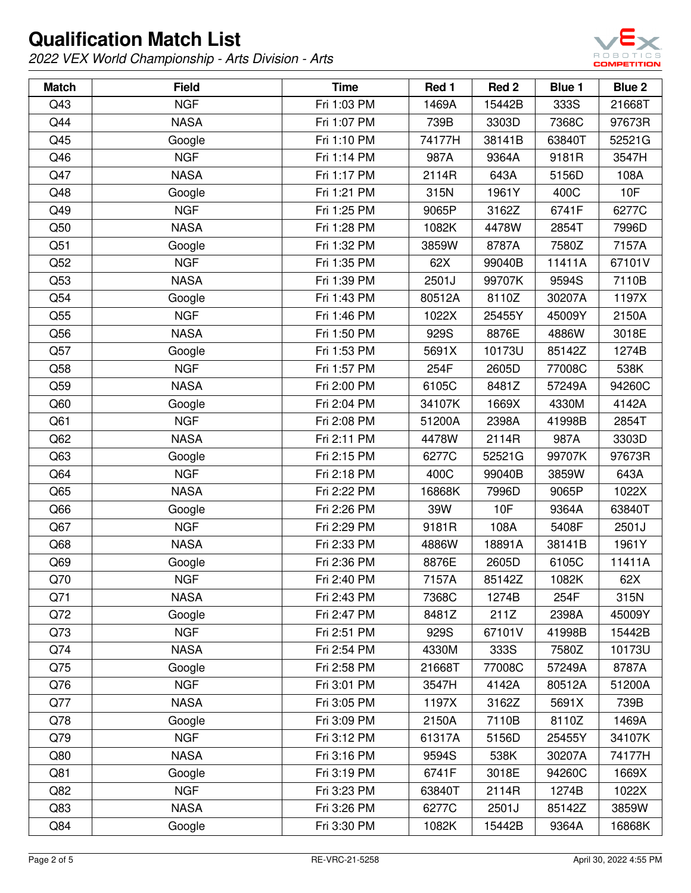

| <b>Match</b>    | <b>Field</b> | <b>Time</b> | Red 1  | Red 2  | <b>Blue 1</b> | Blue 2 |
|-----------------|--------------|-------------|--------|--------|---------------|--------|
| Q43             | <b>NGF</b>   | Fri 1:03 PM | 1469A  | 15442B | 333S          | 21668T |
| Q44             | <b>NASA</b>  | Fri 1:07 PM | 739B   | 3303D  | 7368C         | 97673R |
| Q45             | Google       | Fri 1:10 PM | 74177H | 38141B | 63840T        | 52521G |
| Q46             | <b>NGF</b>   | Fri 1:14 PM | 987A   | 9364A  | 9181R         | 3547H  |
| Q47             | <b>NASA</b>  | Fri 1:17 PM | 2114R  | 643A   | 5156D         | 108A   |
| Q48             | Google       | Fri 1:21 PM | 315N   | 1961Y  | 400C          | 10F    |
| Q49             | <b>NGF</b>   | Fri 1:25 PM | 9065P  | 3162Z  | 6741F         | 6277C  |
| Q50             | <b>NASA</b>  | Fri 1:28 PM | 1082K  | 4478W  | 2854T         | 7996D  |
| Q51             | Google       | Fri 1:32 PM | 3859W  | 8787A  | 7580Z         | 7157A  |
| Q52             | <b>NGF</b>   | Fri 1:35 PM | 62X    | 99040B | 11411A        | 67101V |
| Q53             | <b>NASA</b>  | Fri 1:39 PM | 2501J  | 99707K | 9594S         | 7110B  |
| Q54             | Google       | Fri 1:43 PM | 80512A | 8110Z  | 30207A        | 1197X  |
| Q55             | <b>NGF</b>   | Fri 1:46 PM | 1022X  | 25455Y | 45009Y        | 2150A  |
| Q56             | <b>NASA</b>  | Fri 1:50 PM | 929S   | 8876E  | 4886W         | 3018E  |
| Q57             | Google       | Fri 1:53 PM | 5691X  | 10173U | 85142Z        | 1274B  |
| Q58             | <b>NGF</b>   | Fri 1:57 PM | 254F   | 2605D  | 77008C        | 538K   |
| Q59             | <b>NASA</b>  | Fri 2:00 PM | 6105C  | 8481Z  | 57249A        | 94260C |
| Q60             | Google       | Fri 2:04 PM | 34107K | 1669X  | 4330M         | 4142A  |
| Q61             | <b>NGF</b>   | Fri 2:08 PM | 51200A | 2398A  | 41998B        | 2854T  |
| Q <sub>62</sub> | <b>NASA</b>  | Fri 2:11 PM | 4478W  | 2114R  | 987A          | 3303D  |
| Q63             | Google       | Fri 2:15 PM | 6277C  | 52521G | 99707K        | 97673R |
| Q64             | <b>NGF</b>   | Fri 2:18 PM | 400C   | 99040B | 3859W         | 643A   |
| Q65             | <b>NASA</b>  | Fri 2:22 PM | 16868K | 7996D  | 9065P         | 1022X  |
| Q66             | Google       | Fri 2:26 PM | 39W    | 10F    | 9364A         | 63840T |
| Q67             | <b>NGF</b>   | Fri 2:29 PM | 9181R  | 108A   | 5408F         | 2501J  |
| Q68             | <b>NASA</b>  | Fri 2:33 PM | 4886W  | 18891A | 38141B        | 1961Y  |
| Q69             | Google       | Fri 2:36 PM | 8876E  | 2605D  | 6105C         | 11411A |
| Q70             | <b>NGF</b>   | Fri 2:40 PM | 7157A  | 85142Z | 1082K         | 62X    |
| Q71             | <b>NASA</b>  | Fri 2:43 PM | 7368C  | 1274B  | 254F          | 315N   |
| Q72             | Google       | Fri 2:47 PM | 8481Z  | 211Z   | 2398A         | 45009Y |
| Q73             | <b>NGF</b>   | Fri 2:51 PM | 929S   | 67101V | 41998B        | 15442B |
| Q74             | <b>NASA</b>  | Fri 2:54 PM | 4330M  | 333S   | 7580Z         | 10173U |
| Q75             | Google       | Fri 2:58 PM | 21668T | 77008C | 57249A        | 8787A  |
| Q76             | <b>NGF</b>   | Fri 3:01 PM | 3547H  | 4142A  | 80512A        | 51200A |
| Q77             | <b>NASA</b>  | Fri 3:05 PM | 1197X  | 3162Z  | 5691X         | 739B   |
| Q78             | Google       | Fri 3:09 PM | 2150A  | 7110B  | 8110Z         | 1469A  |
| Q79             | <b>NGF</b>   | Fri 3:12 PM | 61317A | 5156D  | 25455Y        | 34107K |
| Q80             | <b>NASA</b>  | Fri 3:16 PM | 9594S  | 538K   | 30207A        | 74177H |
| Q81             | Google       | Fri 3:19 PM | 6741F  | 3018E  | 94260C        | 1669X  |
| Q82             | <b>NGF</b>   | Fri 3:23 PM | 63840T | 2114R  | 1274B         | 1022X  |
| Q83             | <b>NASA</b>  | Fri 3:26 PM | 6277C  | 2501J  | 85142Z        | 3859W  |
| Q84             | Google       | Fri 3:30 PM | 1082K  | 15442B | 9364A         | 16868K |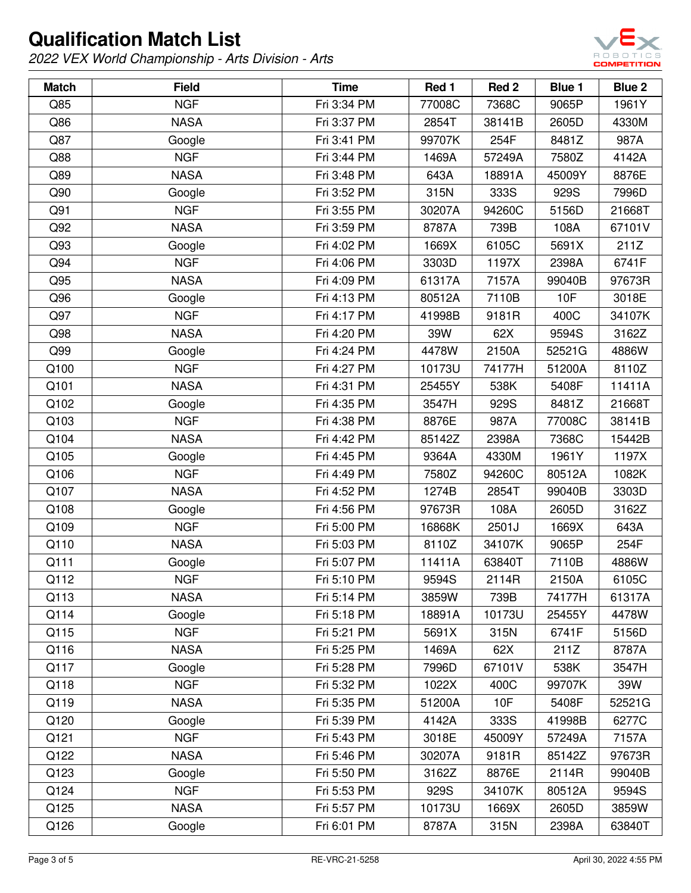

| <b>Match</b> | <b>Field</b> | <b>Time</b> | Red 1  | Red 2  | Blue 1 | Blue 2 |
|--------------|--------------|-------------|--------|--------|--------|--------|
| Q85          | <b>NGF</b>   | Fri 3:34 PM | 77008C | 7368C  | 9065P  | 1961Y  |
| Q86          | <b>NASA</b>  | Fri 3:37 PM | 2854T  | 38141B | 2605D  | 4330M  |
| Q87          | Google       | Fri 3:41 PM | 99707K | 254F   | 8481Z  | 987A   |
| Q88          | <b>NGF</b>   | Fri 3:44 PM | 1469A  | 57249A | 7580Z  | 4142A  |
| Q89          | <b>NASA</b>  | Fri 3:48 PM | 643A   | 18891A | 45009Y | 8876E  |
| Q90          | Google       | Fri 3:52 PM | 315N   | 333S   | 929S   | 7996D  |
| Q91          | <b>NGF</b>   | Fri 3:55 PM | 30207A | 94260C | 5156D  | 21668T |
| Q92          | <b>NASA</b>  | Fri 3:59 PM | 8787A  | 739B   | 108A   | 67101V |
| Q93          | Google       | Fri 4:02 PM | 1669X  | 6105C  | 5691X  | 211Z   |
| Q94          | <b>NGF</b>   | Fri 4:06 PM | 3303D  | 1197X  | 2398A  | 6741F  |
| Q95          | <b>NASA</b>  | Fri 4:09 PM | 61317A | 7157A  | 99040B | 97673R |
| Q96          | Google       | Fri 4:13 PM | 80512A | 7110B  | 10F    | 3018E  |
| Q97          | <b>NGF</b>   | Fri 4:17 PM | 41998B | 9181R  | 400C   | 34107K |
| Q98          | <b>NASA</b>  | Fri 4:20 PM | 39W    | 62X    | 9594S  | 3162Z  |
| Q99          | Google       | Fri 4:24 PM | 4478W  | 2150A  | 52521G | 4886W  |
| Q100         | <b>NGF</b>   | Fri 4:27 PM | 10173U | 74177H | 51200A | 8110Z  |
| Q101         | <b>NASA</b>  | Fri 4:31 PM | 25455Y | 538K   | 5408F  | 11411A |
| Q102         | Google       | Fri 4:35 PM | 3547H  | 929S   | 8481Z  | 21668T |
| Q103         | <b>NGF</b>   | Fri 4:38 PM | 8876E  | 987A   | 77008C | 38141B |
| Q104         | <b>NASA</b>  | Fri 4:42 PM | 85142Z | 2398A  | 7368C  | 15442B |
| Q105         | Google       | Fri 4:45 PM | 9364A  | 4330M  | 1961Y  | 1197X  |
| Q106         | <b>NGF</b>   | Fri 4:49 PM | 7580Z  | 94260C | 80512A | 1082K  |
| Q107         | <b>NASA</b>  | Fri 4:52 PM | 1274B  | 2854T  | 99040B | 3303D  |
| Q108         | Google       | Fri 4:56 PM | 97673R | 108A   | 2605D  | 3162Z  |
| Q109         | <b>NGF</b>   | Fri 5:00 PM | 16868K | 2501J  | 1669X  | 643A   |
| Q110         | <b>NASA</b>  | Fri 5:03 PM | 8110Z  | 34107K | 9065P  | 254F   |
| Q111         | Google       | Fri 5:07 PM | 11411A | 63840T | 7110B  | 4886W  |
| Q112         | <b>NGF</b>   | Fri 5:10 PM | 9594S  | 2114R  | 2150A  | 6105C  |
| Q113         | <b>NASA</b>  | Fri 5:14 PM | 3859W  | 739B   | 74177H | 61317A |
| Q114         | Google       | Fri 5:18 PM | 18891A | 10173U | 25455Y | 4478W  |
| Q115         | <b>NGF</b>   | Fri 5:21 PM | 5691X  | 315N   | 6741F  | 5156D  |
| Q116         | <b>NASA</b>  | Fri 5:25 PM | 1469A  | 62X    | 211Z   | 8787A  |
| Q117         | Google       | Fri 5:28 PM | 7996D  | 67101V | 538K   | 3547H  |
| Q118         | <b>NGF</b>   | Fri 5:32 PM | 1022X  | 400C   | 99707K | 39W    |
| Q119         | <b>NASA</b>  | Fri 5:35 PM | 51200A | 10F    | 5408F  | 52521G |
| Q120         | Google       | Fri 5:39 PM | 4142A  | 333S   | 41998B | 6277C  |
| Q121         | <b>NGF</b>   | Fri 5:43 PM | 3018E  | 45009Y | 57249A | 7157A  |
| Q122         | <b>NASA</b>  | Fri 5:46 PM | 30207A | 9181R  | 85142Z | 97673R |
| Q123         | Google       | Fri 5:50 PM | 3162Z  | 8876E  | 2114R  | 99040B |
| Q124         | <b>NGF</b>   | Fri 5:53 PM | 929S   | 34107K | 80512A | 9594S  |
| Q125         | <b>NASA</b>  | Fri 5:57 PM | 10173U | 1669X  | 2605D  | 3859W  |
| Q126         | Google       | Fri 6:01 PM | 8787A  | 315N   | 2398A  | 63840T |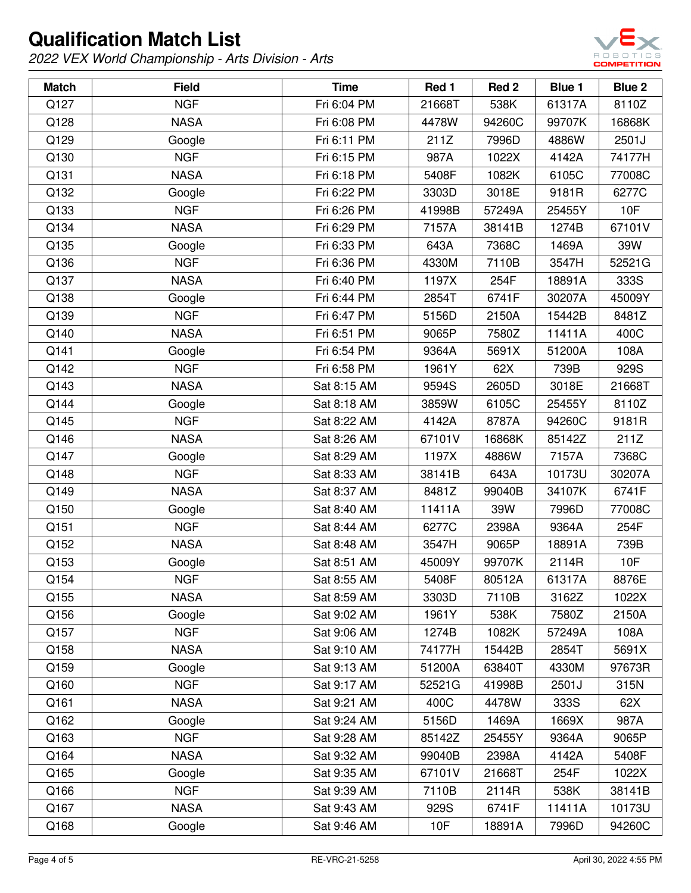

| <b>Match</b> | <b>Field</b> | <b>Time</b> | Red 1  | Red <sub>2</sub> | Blue 1 | Blue 2 |
|--------------|--------------|-------------|--------|------------------|--------|--------|
| Q127         | <b>NGF</b>   | Fri 6:04 PM | 21668T | 538K             | 61317A | 8110Z  |
| Q128         | <b>NASA</b>  | Fri 6:08 PM | 4478W  | 94260C           | 99707K | 16868K |
| Q129         | Google       | Fri 6:11 PM | 211Z   | 7996D            | 4886W  | 2501J  |
| Q130         | <b>NGF</b>   | Fri 6:15 PM | 987A   | 1022X            | 4142A  | 74177H |
| Q131         | <b>NASA</b>  | Fri 6:18 PM | 5408F  | 1082K            | 6105C  | 77008C |
| Q132         | Google       | Fri 6:22 PM | 3303D  | 3018E            | 9181R  | 6277C  |
| Q133         | <b>NGF</b>   | Fri 6:26 PM | 41998B | 57249A           | 25455Y | 10F    |
| Q134         | <b>NASA</b>  | Fri 6:29 PM | 7157A  | 38141B           | 1274B  | 67101V |
| Q135         | Google       | Fri 6:33 PM | 643A   | 7368C            | 1469A  | 39W    |
| Q136         | <b>NGF</b>   | Fri 6:36 PM | 4330M  | 7110B            | 3547H  | 52521G |
| Q137         | <b>NASA</b>  | Fri 6:40 PM | 1197X  | 254F             | 18891A | 333S   |
| Q138         | Google       | Fri 6:44 PM | 2854T  | 6741F            | 30207A | 45009Y |
| Q139         | <b>NGF</b>   | Fri 6:47 PM | 5156D  | 2150A            | 15442B | 8481Z  |
| Q140         | <b>NASA</b>  | Fri 6:51 PM | 9065P  | 7580Z            | 11411A | 400C   |
| Q141         | Google       | Fri 6:54 PM | 9364A  | 5691X            | 51200A | 108A   |
| Q142         | <b>NGF</b>   | Fri 6:58 PM | 1961Y  | 62X              | 739B   | 929S   |
| Q143         | <b>NASA</b>  | Sat 8:15 AM | 9594S  | 2605D            | 3018E  | 21668T |
| Q144         | Google       | Sat 8:18 AM | 3859W  | 6105C            | 25455Y | 8110Z  |
| Q145         | <b>NGF</b>   | Sat 8:22 AM | 4142A  | 8787A            | 94260C | 9181R  |
| Q146         | <b>NASA</b>  | Sat 8:26 AM | 67101V | 16868K           | 85142Z | 211Z   |
| Q147         | Google       | Sat 8:29 AM | 1197X  | 4886W            | 7157A  | 7368C  |
| Q148         | <b>NGF</b>   | Sat 8:33 AM | 38141B | 643A             | 10173U | 30207A |
| Q149         | <b>NASA</b>  | Sat 8:37 AM | 8481Z  | 99040B           | 34107K | 6741F  |
| Q150         | Google       | Sat 8:40 AM | 11411A | 39W              | 7996D  | 77008C |
| Q151         | <b>NGF</b>   | Sat 8:44 AM | 6277C  | 2398A            | 9364A  | 254F   |
| Q152         | <b>NASA</b>  | Sat 8:48 AM | 3547H  | 9065P            | 18891A | 739B   |
| Q153         | Google       | Sat 8:51 AM | 45009Y | 99707K           | 2114R  | 10F    |
| Q154         | <b>NGF</b>   | Sat 8:55 AM | 5408F  | 80512A           | 61317A | 8876E  |
| Q155         | <b>NASA</b>  | Sat 8:59 AM | 3303D  | 7110B            | 3162Z  | 1022X  |
| Q156         | Google       | Sat 9:02 AM | 1961Y  | 538K             | 7580Z  | 2150A  |
| Q157         | <b>NGF</b>   | Sat 9:06 AM | 1274B  | 1082K            | 57249A | 108A   |
| Q158         | <b>NASA</b>  | Sat 9:10 AM | 74177H | 15442B           | 2854T  | 5691X  |
| Q159         | Google       | Sat 9:13 AM | 51200A | 63840T           | 4330M  | 97673R |
| Q160         | <b>NGF</b>   | Sat 9:17 AM | 52521G | 41998B           | 2501J  | 315N   |
| Q161         | <b>NASA</b>  | Sat 9:21 AM | 400C   | 4478W            | 333S   | 62X    |
| Q162         | Google       | Sat 9:24 AM | 5156D  | 1469A            | 1669X  | 987A   |
| Q163         | <b>NGF</b>   | Sat 9:28 AM | 85142Z | 25455Y           | 9364A  | 9065P  |
| Q164         | <b>NASA</b>  | Sat 9:32 AM | 99040B | 2398A            | 4142A  | 5408F  |
| Q165         | Google       | Sat 9:35 AM | 67101V | 21668T           | 254F   | 1022X  |
| Q166         | <b>NGF</b>   | Sat 9:39 AM | 7110B  | 2114R            | 538K   | 38141B |
| Q167         | <b>NASA</b>  | Sat 9:43 AM | 929S   | 6741F            | 11411A | 10173U |
| Q168         | Google       | Sat 9:46 AM | 10F    | 18891A           | 7996D  | 94260C |